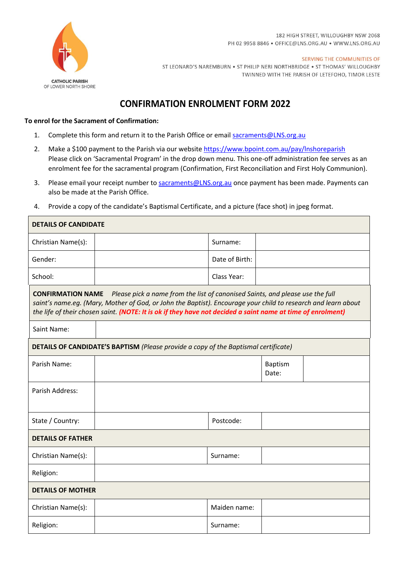

r

182 HIGH STREET, WILLOUGHBY NSW 2068 PH 02 9958 8846 · OFFICE@LNS.ORG.AU · WWW.LNS.ORG.AU

 $\overline{\phantom{a}}$ 

SERVING THE COMMUNITIES OF ST LEONARD'S NAREMBURN . ST PHILIP NERI NORTHBRIDGE . ST THOMAS' WILLOUGHBY TWINNED WITH THE PARISH OF LETEFOHO, TIMOR LESTE

## **CONFIRMATION ENROLMENT FORM 2022**

## **To enrol for the Sacrament of Confirmation:**

- 1. Complete this form and return it to the Parish Office or email [sacraments@LNS.org.au](mailto:sacraments@LNS.org.au)
- 2. Make a \$100 payment to the Parish via our website https://www.bpoint.com.au/pay/Inshoreparish Please click on 'Sacramental Program' in the drop down menu. This one-off administration fee serves as an enrolment fee for the sacramental program (Confirmation, First Reconciliation and First Holy Communion).
- 3. Please email your receipt number to [sacraments@LNS.org.au](mailto:sacraments@LNS.org.au) once payment has been made. Payments can also be made at the Parish Office.
- 4. Provide a copy of the candidate's Baptismal Certificate, and a picture (face shot) in jpeg format.

| <b>DETAILS OF CANDIDATE</b>                                                                                                                                                                                                                                                                                                               |  |                |                         |  |  |  |
|-------------------------------------------------------------------------------------------------------------------------------------------------------------------------------------------------------------------------------------------------------------------------------------------------------------------------------------------|--|----------------|-------------------------|--|--|--|
| Christian Name(s):                                                                                                                                                                                                                                                                                                                        |  | Surname:       |                         |  |  |  |
| Gender:                                                                                                                                                                                                                                                                                                                                   |  | Date of Birth: |                         |  |  |  |
| School:                                                                                                                                                                                                                                                                                                                                   |  | Class Year:    |                         |  |  |  |
| Please pick a name from the list of canonised Saints, and please use the full<br><b>CONFIRMATION NAME</b><br>saint's name.eg. (Mary, Mother of God, or John the Baptist). Encourage your child to research and learn about<br>the life of their chosen saint. (NOTE: It is ok if they have not decided a saint name at time of enrolment) |  |                |                         |  |  |  |
| Saint Name:                                                                                                                                                                                                                                                                                                                               |  |                |                         |  |  |  |
| <b>DETAILS OF CANDIDATE'S BAPTISM (Please provide a copy of the Baptismal certificate)</b>                                                                                                                                                                                                                                                |  |                |                         |  |  |  |
| Parish Name:                                                                                                                                                                                                                                                                                                                              |  |                | <b>Baptism</b><br>Date: |  |  |  |
| Parish Address:                                                                                                                                                                                                                                                                                                                           |  |                |                         |  |  |  |
| State / Country:                                                                                                                                                                                                                                                                                                                          |  | Postcode:      |                         |  |  |  |
| <b>DETAILS OF FATHER</b>                                                                                                                                                                                                                                                                                                                  |  |                |                         |  |  |  |
| Christian Name(s):                                                                                                                                                                                                                                                                                                                        |  | Surname:       |                         |  |  |  |
| Religion:                                                                                                                                                                                                                                                                                                                                 |  |                |                         |  |  |  |
| <b>DETAILS OF MOTHER</b>                                                                                                                                                                                                                                                                                                                  |  |                |                         |  |  |  |
| Christian Name(s):                                                                                                                                                                                                                                                                                                                        |  | Maiden name:   |                         |  |  |  |
| Religion:                                                                                                                                                                                                                                                                                                                                 |  | Surname:       |                         |  |  |  |